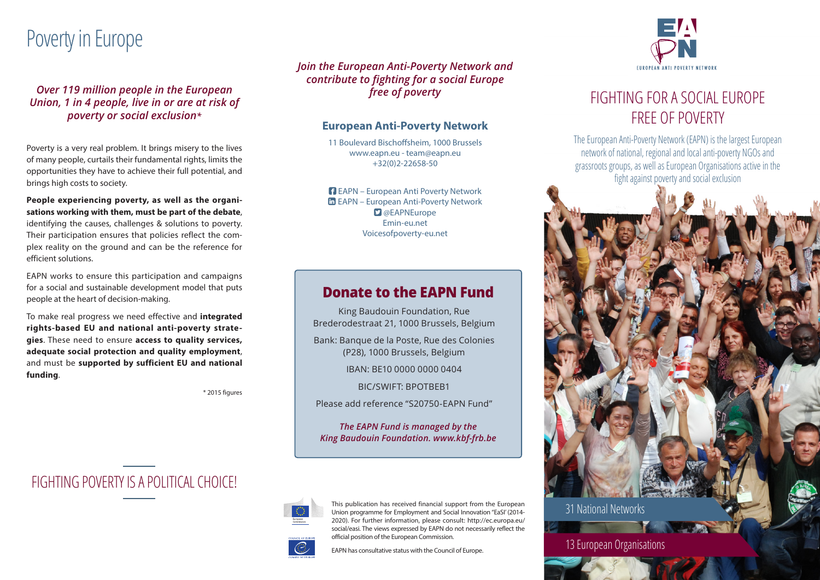# Poverty in Europe

*Over 119 million people in the European Union, 1 in 4 people, live in or are at risk of poverty or social exclusion\**

Poverty is a very real problem. It brings misery to the lives of many people, curtails their fundamental rights, limits the opportunities they have to achieve their full potential, and brings high costs to society.

**People experiencing poverty, as well as the organisations working with them, must be part of the debate**, identifying the causes, challenges & solutions to poverty. Their participation ensures that policies reflect the complex reality on the ground and can be the reference for efficient solutions.

EAPN works to ensure this participation and campaigns for a social and sustainable development model that puts people at the heart of decision-making.

To make real progress we need effective and **integrated rights-based EU and national anti-poverty strategies**. These need to ensure **access to quality services, adequate social protection and quality employment**, and must be **supported by sufficient EU and national funding**.

\* 2015 figures

FIGHTING POVERTY IS A POLITICAL CHOICE!

*Join the European Anti-Poverty Network and contribute to fighting for a social Europe free of poverty*

#### **European Anti-Poverty Network**

11 Boulevard Bischoffsheim, 1000 Brussels www.eapn.eu - team@eapn.eu +32(0)2-22658-50

**FI** EAPN – European Anti Poverty Network EAPN – European Anti-Poverty Network **D** @EAPNEurope Emin-eu.net Voicesofpoverty-eu.net

#### **Donate to the EAPN Fund**

King Baudouin Foundation, Rue Brederodestraat 21, 1000 Brussels, Belgium

Bank: Banque de la Poste, Rue des Colonies (P28), 1000 Brussels, Belgium

IBAN: BE10 0000 0000 0404

BIC/SWIFT: BPOTBEB1

Please add reference "S20750-EAPN Fund"

*The EAPN Fund is managed by the King Baudouin Foundation. www.kbf-frb.be*



This publication has received financial support from the European Union programme for Employment and Social Innovation "EaSI' (2014- 2020). For further information, please consult: http://ec.europa.eu/ social/easi. The views expressed by EAPN do not necessarily reflect the official position of the European Commission.

EAPN has consultative status with the Council of Europe.



## FIGHTING FOR A SOCIAL EUROPE FREE OF POVERTY

The European Anti-Poverty Network (EAPN) is the largest European network of national, regional and local anti-poverty NGOs and grassroots groups, as well as European Organisations active in the fight against poverty and social exclusion



13 European Organisations